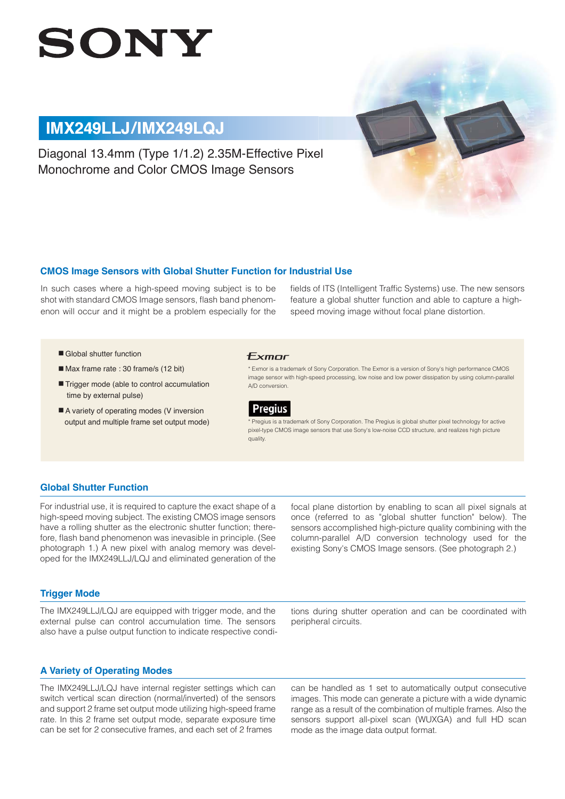# SONY

# **IMX249LLJ/IMX249LQJ**

Diagonal 13.4mm (Type 1/1.2) 2.35M-Effective Pixel Monochrome and Color CMOS Image Sensors



## **CMOS Image Sensors with Global Shutter Function for Industrial Use**

In such cases where a high-speed moving subject is to be shot with standard CMOS Image sensors, flash band phenomenon will occur and it might be a problem especially for the fields of ITS (Intelligent Traffic Systems) use. The new sensors feature a global shutter function and able to capture a highspeed moving image without focal plane distortion.

- Global shutter function
- Max frame rate : 30 frame/s (12 bit)
- Trigger mode (able to control accumulation time by external pulse)
- A variety of operating modes (V inversion output and multiple frame set output mode)

#### Exmor

\* Exmor is a trademark of Sony Corporation. The Exmor is a version of Sony's high performance CMOS image sensor with high-speed processing, low noise and low power dissipation by using column-parallel A/D conversion.



Pregius is a trademark of Sony Corporation. The Pregius is global shutter pixel technology for active pixel-type CMOS image sensors that use Sony's low-noise CCD structure, and realizes high picture quality.

#### **Global Shutter Function**

For industrial use, it is required to capture the exact shape of a high-speed moving subject. The existing CMOS image sensors have a rolling shutter as the electronic shutter function; therefore, flash band phenomenon was inevasible in principle. (See photograph 1.) A new pixel with analog memory was developed for the IMX249LLJ/LQJ and eliminated generation of the

focal plane distortion by enabling to scan all pixel signals at once (referred to as "global shutter function" below). The sensors accomplished high-picture quality combining with the column-parallel A/D conversion technology used for the existing Sony's CMOS Image sensors. (See photograph 2.)

#### **Trigger Mode**

The IMX249LLJ/LQJ are equipped with trigger mode, and the external pulse can control accumulation time. The sensors also have a pulse output function to indicate respective condi-

tions during shutter operation and can be coordinated with peripheral circuits.

#### **A Variety of Operating Modes**

The IMX249LLJ/LQJ have internal register settings which can switch vertical scan direction (normal/inverted) of the sensors and support 2 frame set output mode utilizing high-speed frame rate. In this 2 frame set output mode, separate exposure time can be set for 2 consecutive frames, and each set of 2 frames

can be handled as 1 set to automatically output consecutive images. This mode can generate a picture with a wide dynamic range as a result of the combination of multiple frames. Also the sensors support all-pixel scan (WUXGA) and full HD scan mode as the image data output format.